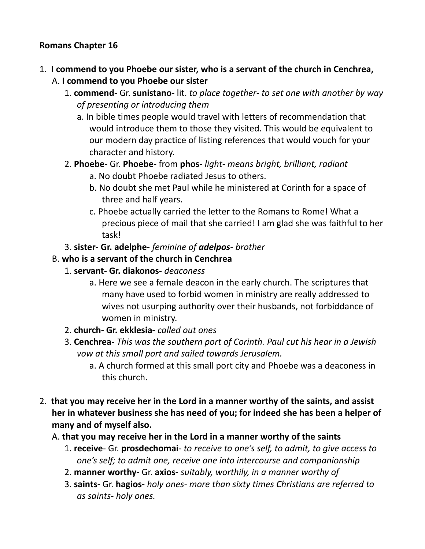### **Romans Chapter 16**

- 1. **I commend to you Phoebe our sister, who is a servant of the church in Cenchrea,**  A. **I commend to you Phoebe our sister**
	- 1. **commend** Gr. **sunistano** lit. *to place together- to set one with another by way of presenting or introducing them*
		- a. In bible times people would travel with letters of recommendation that would introduce them to those they visited. This would be equivalent to our modern day practice of listing references that would vouch for your character and history.
	- 2. **Phoebe-** Gr. **Phoebe-** from **phos** *light- means bright, brilliant, radiant*
		- a. No doubt Phoebe radiated Jesus to others.
		- b. No doubt she met Paul while he ministered at Corinth for a space of three and half years.
		- c. Phoebe actually carried the letter to the Romans to Rome! What a precious piece of mail that she carried! I am glad she was faithful to her task!
	- 3. **sister- Gr. adelphe-** *feminine of adelpos brother*

#### B. **who is a servant of the church in Cenchrea**

- 1. **servant- Gr. diakonos-** *deaconess*
	- a. Here we see a female deacon in the early church. The scriptures that many have used to forbid women in ministry are really addressed to wives not usurping authority over their husbands, not forbiddance of women in ministry.
- 2. **church- Gr. ekklesia-** *called out ones*
- 3. **Cenchrea-** *This was the southern port of Corinth. Paul cut his hear in a Jewish vow at this small port and sailed towards Jerusalem.* 
	- a. A church formed at this small port city and Phoebe was a deaconess in this church.
- 2. **that you may receive her in the Lord in a manner worthy of the saints, and assist her in whatever business she has need of you; for indeed she has been a helper of many and of myself also.** 
	- A. **that you may receive her in the Lord in a manner worthy of the saints**
		- 1. **receive** Gr. **prosdechomai** *to receive to one's self, to admit, to give access to one's self; to admit one, receive one into intercourse and companionship*
		- 2. **manner worthy-** Gr. **axios-** *suitably, worthily, in a manner worthy of*
		- 3. **saints-** Gr. **hagios-** *holy ones- more than sixty times Christians are referred to as saints- holy ones.*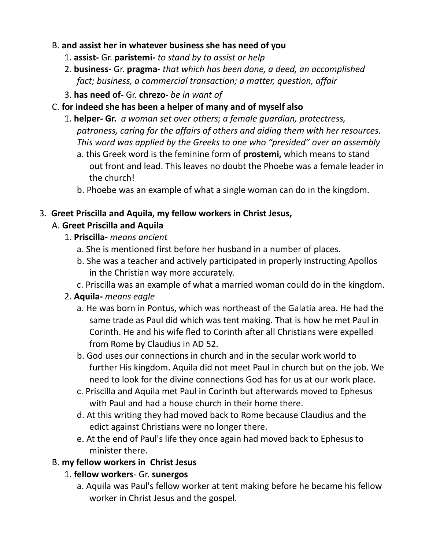## B. **and assist her in whatever business she has need of you**

- 1. **assist-** Gr. **paristemi-** *to stand by to assist or help*
- 2. **business-** Gr. **pragma-** *that which has been done, a deed, an accomplished fact; business, a commercial transaction; a matter, question, affair*
- 3. **has need of-** Gr. **chrezo-** *be in want of*
- C. **for indeed she has been a helper of many and of myself also**
	- 1. **helper- Gr.** *a woman set over others; a female guardian, protectress, patroness, caring for the affairs of others and aiding them with her resources. This word was applied by the Greeks to one who "presided" over an assembly*
		- a. this Greek word is the feminine form of **prostemi,** which means to stand out front and lead. This leaves no doubt the Phoebe was a female leader in the church!
		- b. Phoebe was an example of what a single woman can do in the kingdom.

## 3. **Greet Priscilla and Aquila, my fellow workers in Christ Jesus,**

# A. **Greet Priscilla and Aquila**

- 1. **Priscilla-** *means ancient*
	- a. She is mentioned first before her husband in a number of places.
	- b. She was a teacher and actively participated in properly instructing Apollos in the Christian way more accurately.
	- c. Priscilla was an example of what a married woman could do in the kingdom.

# 2. **Aquila-** *means eagle*

- a. He was born in Pontus, which was northeast of the Galatia area. He had the same trade as Paul did which was tent making. That is how he met Paul in Corinth. He and his wife fled to Corinth after all Christians were expelled from Rome by Claudius in AD 52.
- b. God uses our connections in church and in the secular work world to further His kingdom. Aquila did not meet Paul in church but on the job. We need to look for the divine connections God has for us at our work place.
- c. Priscilla and Aquila met Paul in Corinth but afterwards moved to Ephesus with Paul and had a house church in their home there.
- d. At this writing they had moved back to Rome because Claudius and the edict against Christians were no longer there.
- e. At the end of Paul's life they once again had moved back to Ephesus to minister there.

# B. **my fellow workers in Christ Jesus**

# 1. **fellow workers**- Gr. **sunergos**

a. Aquila was Paul's fellow worker at tent making before he became his fellow worker in Christ Jesus and the gospel.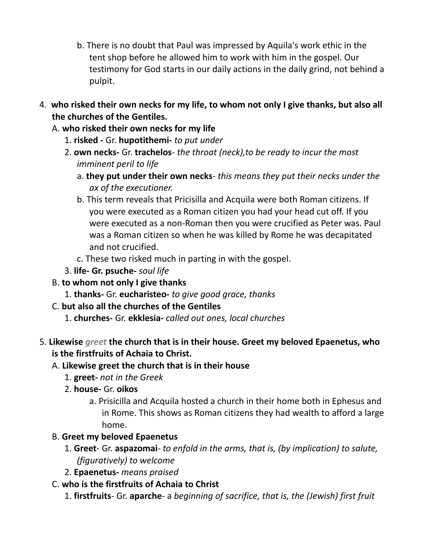- b. There is no doubt that Paul was impressed by Aquila's work ethic in the tent shop before he allowed him to work with him in the gospel. Our testimony for God starts in our daily actions in the daily grind, not behind a pulpit.
- 4. **who risked their own necks for my life, to whom not only I give thanks, but also all the churches of the Gentiles.**
	- A. **who risked their own necks for my life**
		- 1. **risked** Gr. **hupotithemi-** *to put under*
		- 2. **own necks-** Gr. **trachelos** *the throat (neck),to be ready to incur the most imminent peril to life*
			- a. **they put under their own necks** *this means they put their necks under the ax of the executioner.*
			- b. This term reveals that Pricisilla and Acquila were both Roman citizens. If you were executed as a Roman citizen you had your head cut off. If you were executed as a non-Roman then you were crucified as Peter was. Paul was a Roman citizen so when he was killed by Rome he was decapitated and not crucified.
			- c. These two risked much in parting in with the gospel.
		- 3. **life- Gr. psuche-** *soul life*
	- B. **to whom not only I give thanks**
		- 1. **thanks-** Gr. **eucharisteo-** *to give good grace, thanks*
	- C. **but also all the churches of the Gentiles**
		- 1. **churches-** Gr. **ekklesia-** *called out ones, local churches*
- 5. **Likewise** *greet* **the church that is in their house. Greet my beloved Epaenetus, who is the firstfruits of Achaia to Christ.** 
	- A. **Likewise greet the church that is in their house**
		- 1. **greet-** *not in the Greek*
		- 2. **house-** Gr. **oikos**
			- a. Prisicilla and Acquila hosted a church in their home both in Ephesus and in Rome. This shows as Roman citizens they had wealth to afford a large home.
	- B. **Greet my beloved Epaenetus**
		- 1. **Greet** Gr. **aspazomai** *to enfold in the arms, that is, (by implication) to salute, (figuratively) to welcome*
		- 2. **Epaenetus-** *means praised*
	- C. **who is the firstfruits of Achaia to Christ**
		- 1. **firstfruits** Gr. **aparche** a *beginning of sacrifice, that is, the (Jewish) first fruit*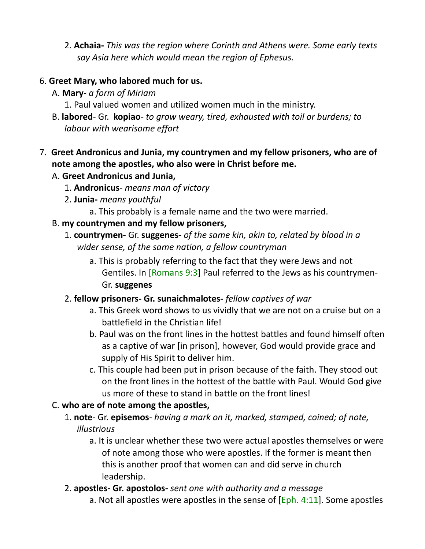2. **Achaia-** *This was the region where Corinth and Athens were. Some early texts say Asia here which would mean the region of Ephesus.*

## 6. **Greet Mary, who labored much for us.**

- A. **Mary** *a form of Miriam*
	- 1. Paul valued women and utilized women much in the ministry.
- B. **labored** Gr. **kopiao** *to grow weary, tired, exhausted with toil or burdens; to labour with wearisome effort*

## 7. **Greet Andronicus and Junia, my countrymen and my fellow prisoners, who are of note among the apostles, who also were in Christ before me.**

# A. **Greet Andronicus and Junia,**

- 1. **Andronicus** *means man of victory*
- 2. **Junia-** *means youthful*
	- a. This probably is a female name and the two were married.

## B. **my countrymen and my fellow prisoners,**

- 1. **countrymen-** Gr. **suggenes-** *of the same kin, akin to, related by blood in a wider sense, of the same nation, a fellow countryman*
	- a. This is probably referring to the fact that they were Jews and not Gentiles. In [Romans 9:3] Paul referred to the Jews as his countrymen-Gr. **suggenes**

## 2. **fellow prisoners- Gr. sunaichmalotes-** *fellow captives of war*

- a. This Greek word shows to us vividly that we are not on a cruise but on a battlefield in the Christian life!
- b. Paul was on the front lines in the hottest battles and found himself often as a captive of war [in prison], however, God would provide grace and supply of His Spirit to deliver him.
- c. This couple had been put in prison because of the faith. They stood out on the front lines in the hottest of the battle with Paul. Would God give us more of these to stand in battle on the front lines!

# C. **who are of note among the apostles,**

- 1. **note** Gr. **episemos** *having a mark on it, marked, stamped, coined; of note, illustrious*
	- a. It is unclear whether these two were actual apostles themselves or were of note among those who were apostles. If the former is meant then this is another proof that women can and did serve in church leadership.
- 2. **apostles- Gr. apostolos-** *sent one with authority and a message*
	- a. Not all apostles were apostles in the sense of  $[Eph. 4:11]$ . Some apostles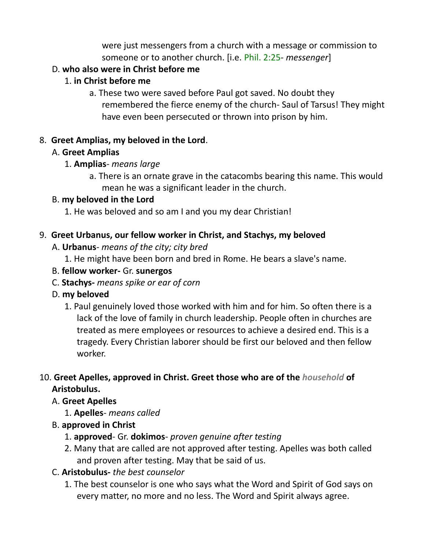were just messengers from a church with a message or commission to someone or to another church. [i.e. Phil. 2:25- *messenger*]

## D. **who also were in Christ before me**

## 1. **in Christ before me**

a. These two were saved before Paul got saved. No doubt they remembered the fierce enemy of the church- Saul of Tarsus! They might have even been persecuted or thrown into prison by him.

## 8. **Greet Amplias, my beloved in the Lord**.

#### A. **Greet Amplias**

- 1. **Amplias** *means large*
	- a. There is an ornate grave in the catacombs bearing this name. This would mean he was a significant leader in the church.

#### B. **my beloved in the Lord**

1. He was beloved and so am I and you my dear Christian!

#### 9. **Greet Urbanus, our fellow worker in Christ, and Stachys, my beloved**

A. **Urbanus**- *means of the city; city bred*

1. He might have been born and bred in Rome. He bears a slave's name.

- B. **fellow worker-** Gr. **sunergos**
- C. **Stachys-** *means spike or ear of corn*
- D. **my beloved**
	- 1. Paul genuinely loved those worked with him and for him. So often there is a lack of the love of family in church leadership. People often in churches are treated as mere employees or resources to achieve a desired end. This is a tragedy. Every Christian laborer should be first our beloved and then fellow worker.

## 10. **Greet Apelles, approved in Christ. Greet those who are of the** *household* **of Aristobulus.**

## A. **Greet Apelles**

- 1. **Apelles** *means called*
- B. **approved in Christ**
	- 1. **approved** Gr. **dokimos** *proven genuine after testing*
	- 2. Many that are called are not approved after testing. Apelles was both called and proven after testing. May that be said of us.
- C. **Aristobulus-** *the best counselor*
	- 1. The best counselor is one who says what the Word and Spirit of God says on every matter, no more and no less. The Word and Spirit always agree.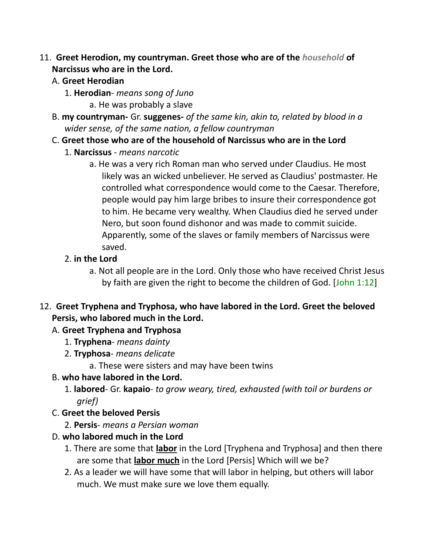- 11. **Greet Herodion, my countryman. Greet those who are of the** *household* **of Narcissus who are in the Lord.**
	- A. **Greet Herodian**
		- 1. **Herodian** *means song of Juno*
			- a. He was probably a slave
	- B. **my countryman-** Gr. **suggenes-** *of the same kin, akin to, related by blood in a wider sense, of the same nation, a fellow countryman*
	- C. **Greet those who are of the household of Narcissus who are in the Lord**
		- 1. **Narcissus** *means narcotic*
			- a. He was a very rich Roman man who served under Claudius. He most likely was an wicked unbeliever. He served as Claudius' postmaster. He controlled what correspondence would come to the Caesar. Therefore, people would pay him large bribes to insure their correspondence got to him. He became very wealthy. When Claudius died he served under Nero, but soon found dishonor and was made to commit suicide. Apparently, some of the slaves or family members of Narcissus were saved.
		- 2. **in the Lord**
			- a. Not all people are in the Lord. Only those who have received Christ Jesus by faith are given the right to become the children of God. [John 1:12]
- 12. **Greet Tryphena and Tryphosa, who have labored in the Lord. Greet the beloved Persis, who labored much in the Lord.** 
	- A. **Greet Tryphena and Tryphosa**
		- 1. **Tryphena** *means dainty*
		- 2. **Tryphosa** *means delicate*
			- a. These were sisters and may have been twins
	- B. **who have labored in the Lord.**
		- 1. **labored** Gr. **kapaio** *to grow weary, tired, exhausted (with toil or burdens or grief)*
	- C. **Greet the beloved Persis**
		- 2. **Persis** *means a Persian woman*
	- D. **who labored much in the Lord**
		- 1. There are some that **labor** in the Lord [Tryphena and Tryphosa] and then there are some that **labor much** in the Lord [Persis] Which will we be?
		- 2. As a leader we will have some that will labor in helping, but others will labor much. We must make sure we love them equally.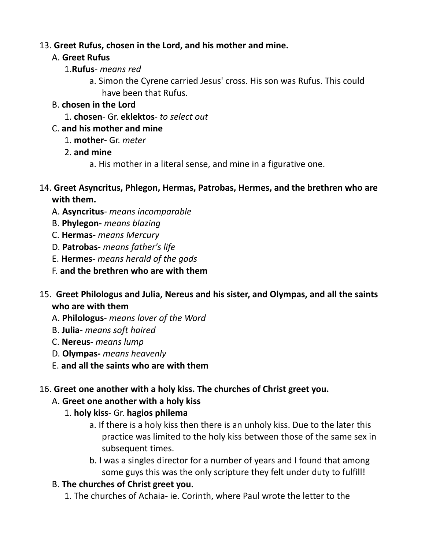## 13. **Greet Rufus, chosen in the Lord, and his mother and mine.**

#### A. **Greet Rufus**

- 1.**Rufus** *means red*
	- a. Simon the Cyrene carried Jesus' cross. His son was Rufus. This could have been that Rufus.

#### B. **chosen in the Lord**

1. **chosen**- Gr. **eklektos**- *to select out*

## C. **and his mother and mine**

- 1. **mother-** Gr. *meter*
- 2. **and mine**
	- a. His mother in a literal sense, and mine in a figurative one.
- 14. **Greet Asyncritus, Phlegon, Hermas, Patrobas, Hermes, and the brethren who are with them.**
	- A. **Asyncritus** *means incomparable*
	- B. **Phylegon-** *means blazing*
	- C. **Hermas-** *means Mercury*
	- D. **Patrobas-** *means father's life*
	- E. **Hermes-** *means herald of the gods*
	- F. **and the brethren who are with them**
- 15. **Greet Philologus and Julia, Nereus and his sister, and Olympas, and all the saints who are with them**
	- A. **Philologus** *means lover of the Word*
	- B. **Julia-** *means soft haired*
	- C. **Nereus-** *means lump*
	- D. **Olympas-** *means heavenly*
	- E. **and all the saints who are with them**

## 16. **Greet one another with a holy kiss. The churches of Christ greet you.**

## A. **Greet one another with a holy kiss**

- 1. **holy kiss** Gr. **hagios philema**
	- a. If there is a holy kiss then there is an unholy kiss. Due to the later this practice was limited to the holy kiss between those of the same sex in subsequent times.
	- b. I was a singles director for a number of years and I found that among some guys this was the only scripture they felt under duty to fulfill!

## B. **The churches of Christ greet you.**

1. The churches of Achaia- ie. Corinth, where Paul wrote the letter to the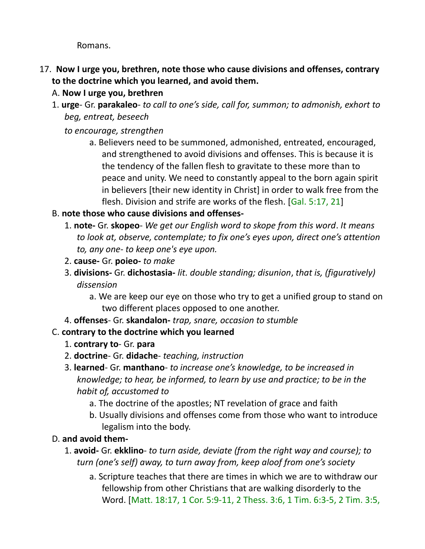Romans.

- 17. **Now I urge you, brethren, note those who cause divisions and offenses, contrary to the doctrine which you learned, and avoid them.** 
	- A. **Now I urge you, brethren**
	- 1. **urge** Gr. **parakaleo** *to call to one's side, call for, summon; to admonish, exhort to beg, entreat, beseech*

*to encourage, strengthen*

- a. Believers need to be summoned, admonished, entreated, encouraged, and strengthened to avoid divisions and offenses. This is because it is the tendency of the fallen flesh to gravitate to these more than to peace and unity. We need to constantly appeal to the born again spirit in believers [their new identity in Christ] in order to walk free from the flesh. Division and strife are works of the flesh. [Gal. 5:17, 21]
- B. **note those who cause divisions and offenses-**
	- 1. **note-** Gr. **skopeo** *We get our English word to skope from this word*. *It means to look at, observe, contemplate; to fix one's eyes upon, direct one's attention to, any one- to keep one's eye upon.*
	- 2. **cause-** Gr. **poieo-** *to make*
	- 3. **divisions-** Gr. **dichostasia-** *lit. double standing; disunion*, *that is, (figuratively) dissension*
		- a. We are keep our eye on those who try to get a unified group to stand on two different places opposed to one another.
	- 4. **offenses** Gr. **skandalon-** *trap, snare, occasion to stumble*
- C. **contrary to the doctrine which you learned**
	- 1. **contrary to** Gr. **para**
	- 2. **doctrine** Gr. **didache** *teaching, instruction*
	- 3. **learned** Gr. **manthano** *to increase one's knowledge, to be increased in knowledge; to hear, be informed, to learn by use and practice; to be in the habit of, accustomed to*
		- a. The doctrine of the apostles; NT revelation of grace and faith
		- b. Usually divisions and offenses come from those who want to introduce legalism into the body.
- D. **and avoid them-**
	- 1. **avoid-** Gr. **ekklino** *to turn aside, deviate (from the right way and course); to turn (one's self) away, to turn away from, keep aloof from one's society*
		- a. Scripture teaches that there are times in which we are to withdraw our fellowship from other Christians that are walking disorderly to the Word. [Matt. 18:17, 1 Cor. 5:9-11, 2 Thess. 3:6, 1 Tim. 6:3-5, 2 Tim. 3:5,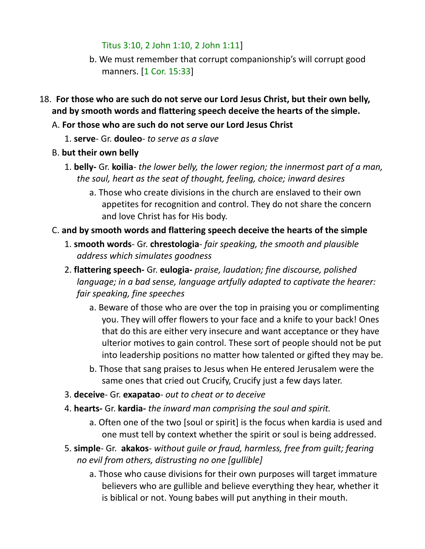Titus 3:10, 2 John 1:10, 2 John 1:11]

- b. We must remember that corrupt companionship's will corrupt good manners. [1 Cor. 15:33]
- 18. **For those who are such do not serve our Lord Jesus Christ, but their own belly, and by smooth words and flattering speech deceive the hearts of the simple.**

#### A. **For those who are such do not serve our Lord Jesus Christ**

- 1. **serve** Gr. **douleo** *to serve as a slave*
- B. **but their own belly**
	- 1. **belly-** Gr. **koilia** *the lower belly, the lower region; the innermost part of a man, the soul, heart as the seat of thought, feeling, choice; inward desires*
		- a. Those who create divisions in the church are enslaved to their own appetites for recognition and control. They do not share the concern and love Christ has for His body.

## C. **and by smooth words and flattering speech deceive the hearts of the simple**

- 1. **smooth words** Gr. **chrestologia** *fair speaking, the smooth and plausible address which simulates goodness*
- 2. **flattering speech-** Gr. **eulogia-** *praise, laudation; fine discourse, polished language; in a bad sense, language artfully adapted to captivate the hearer: fair speaking, fine speeches*
	- a. Beware of those who are over the top in praising you or complimenting you. They will offer flowers to your face and a knife to your back! Ones that do this are either very insecure and want acceptance or they have ulterior motives to gain control. These sort of people should not be put into leadership positions no matter how talented or gifted they may be.
	- b. Those that sang praises to Jesus when He entered Jerusalem were the same ones that cried out Crucify, Crucify just a few days later.
- 3. **deceive** Gr. **exapatao** *out to cheat or to deceive*
- 4. **hearts-** Gr. **kardia-** *the inward man comprising the soul and spirit.*
	- a. Often one of the two [soul or spirit] is the focus when kardia is used and one must tell by context whether the spirit or soul is being addressed.
- 5. **simple** Gr. **akakos** *without guile or fraud, harmless, free from guilt; fearing no evil from others, distrusting no one [gullible]*
	- a. Those who cause divisions for their own purposes will target immature believers who are gullible and believe everything they hear, whether it is biblical or not. Young babes will put anything in their mouth.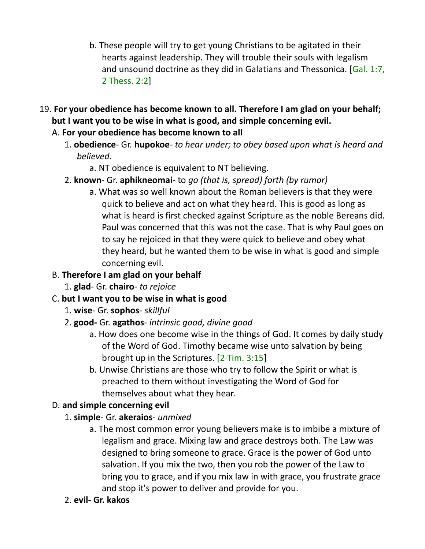- b. These people will try to get young Christians to be agitated in their hearts against leadership. They will trouble their souls with legalism and unsound doctrine as they did in Galatians and Thessonica. [Gal. 1:7, 2 Thess. 2:2]
- 19. **For your obedience has become known to all. Therefore I am glad on your behalf; but I want you to be wise in what is good, and simple concerning evil.** 
	- A. **For your obedience has become known to all**
		- 1. **obedience** Gr. **hupokoe** *to hear under; to obey based upon what is heard and believed*.
			- a. NT obedience is equivalent to NT believing.
		- 2. **known** Gr. **aphikneomai** to *go (that is, spread) forth (by rumor)*
			- a. What was so well known about the Roman believers is that they were quick to believe and act on what they heard. This is good as long as what is heard is first checked against Scripture as the noble Bereans did. Paul was concerned that this was not the case. That is why Paul goes on to say he rejoiced in that they were quick to believe and obey what they heard, but he wanted them to be wise in what is good and simple concerning evil.
	- B. **Therefore I am glad on your behalf**
		- 1. **glad** Gr. **chairo** *to rejoice*
	- C. **but I want you to be wise in what is good**
		- 1. **wise** Gr. **sophos** *skillful*
		- 2. **good-** Gr. **agathos** *intrinsic good, divine good*
			- a. How does one become wise in the things of God. It comes by daily study of the Word of God. Timothy became wise unto salvation by being brought up in the Scriptures. [2 Tim. 3:15]
			- b. Unwise Christians are those who try to follow the Spirit or what is preached to them without investigating the Word of God for themselves about what they hear.

# D. **and simple concerning evil**

- 1. **simple** Gr. **akeraios** *unmixed*
	- a. The most common error young believers make is to imbibe a mixture of legalism and grace. Mixing law and grace destroys both. The Law was designed to bring someone to grace. Grace is the power of God unto salvation. If you mix the two, then you rob the power of the Law to bring you to grace, and if you mix law in with grace, you frustrate grace and stop it's power to deliver and provide for you.
- 2. **evil- Gr. kakos**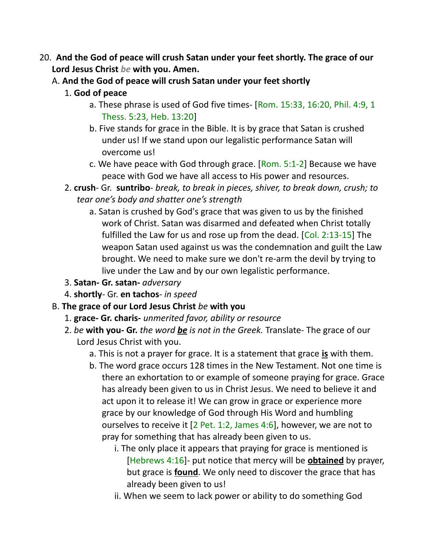- 20. **And the God of peace will crush Satan under your feet shortly. The grace of our Lord Jesus Christ** *be* **with you. Amen.** 
	- A. **And the God of peace will crush Satan under your feet shortly**
		- 1. **God of peace**
			- a. These phrase is used of God five times- [Rom. 15:33, 16:20, Phil. 4:9, 1 Thess. 5:23, Heb. 13:20]
			- b. Five stands for grace in the Bible. It is by grace that Satan is crushed under us! If we stand upon our legalistic performance Satan will overcome us!
			- c. We have peace with God through grace. [Rom. 5:1-2] Because we have peace with God we have all access to His power and resources.
		- 2. **crush** Gr. **suntribo** *break, to break in pieces, shiver, to break down, crush; to tear one's body and shatter one's strength*
			- a. Satan is crushed by God's grace that was given to us by the finished work of Christ. Satan was disarmed and defeated when Christ totally fulfilled the Law for us and rose up from the dead. [Col. 2:13-15] The weapon Satan used against us was the condemnation and guilt the Law brought. We need to make sure we don't re-arm the devil by trying to live under the Law and by our own legalistic performance.
		- 3. **Satan- Gr. satan-** *adversary*
		- 4. **shortly** Gr. **en tachos** *in speed*
	- B. **The grace of our Lord Jesus Christ** *be* **with you**
		- 1. **grace- Gr. charis-** *unmerited favor, ability or resource*
		- 2. *be* **with you- Gr.** *the word be is not in the Greek.* Translate- The grace of our Lord Jesus Christ with you.
			- a. This is not a prayer for grace. It is a statement that grace **is** with them.
			- b. The word grace occurs 128 times in the New Testament. Not one time is there an exhortation to or example of someone praying for grace. Grace has already been given to us in Christ Jesus. We need to believe it and act upon it to release it! We can grow in grace or experience more grace by our knowledge of God through His Word and humbling ourselves to receive it [2 Pet. 1:2, James 4:6], however, we are not to pray for something that has already been given to us.
				- i. The only place it appears that praying for grace is mentioned is [Hebrews 4:16]- put notice that mercy will be **obtained** by prayer, but grace is **found**. We only need to discover the grace that has already been given to us!
				- ii. When we seem to lack power or ability to do something God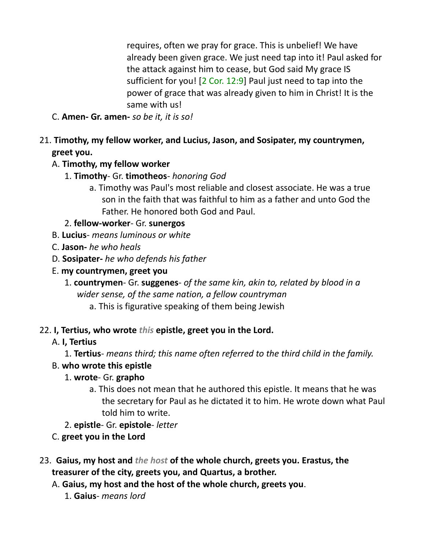requires, often we pray for grace. This is unbelief! We have already been given grace. We just need tap into it! Paul asked for the attack against him to cease, but God said My grace IS sufficient for you! [2 Cor. 12:9] Paul just need to tap into the power of grace that was already given to him in Christ! It is the same with us!

- C. **Amen- Gr. amen-** *so be it, it is so!*
- 21. **Timothy, my fellow worker, and Lucius, Jason, and Sosipater, my countrymen, greet you.**

## A. **Timothy, my fellow worker**

- 1. **Timothy** Gr. **timotheos** *honoring God*
	- a. Timothy was Paul's most reliable and closest associate. He was a true son in the faith that was faithful to him as a father and unto God the Father. He honored both God and Paul.

2. **fellow-worker**- Gr. **sunergos**

- B. **Lucius** *means luminous or white*
- C. **Jason-** *he who heals*
- D. **Sosipater-** *he who defends his father*
- E. **my countrymen, greet you**
	- 1. **countrymen** Gr. **suggenes** *of the same kin, akin to, related by blood in a wider sense, of the same nation, a fellow countryman*
		- a. This is figurative speaking of them being Jewish

## 22. **I, Tertius, who wrote** *this* **epistle, greet you in the Lord.**

## A. **I, Tertius**

1. **Tertius**- *means third; this name often referred to the third child in the family.*

#### B. **who wrote this epistle**

#### 1. **wrote**- Gr. **grapho**

- a. This does not mean that he authored this epistle. It means that he was the secretary for Paul as he dictated it to him. He wrote down what Paul told him to write.
- 2. **epistle** Gr. **epistole** *letter*

## C. **greet you in the Lord**

- 23. **Gaius, my host and** *the host* **of the whole church, greets you. Erastus, the treasurer of the city, greets you, and Quartus, a brother.** 
	- A. **Gaius, my host and the host of the whole church, greets you**.
		- 1. **Gaius** *means lord*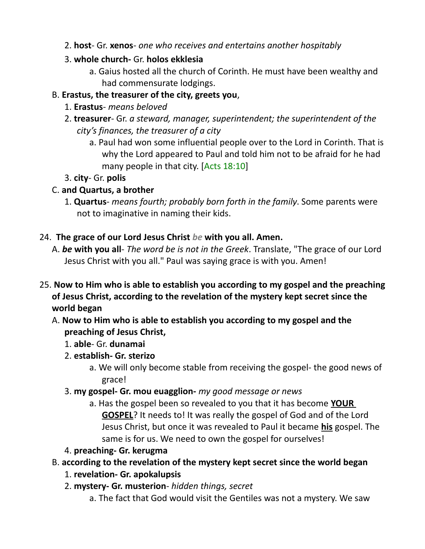- 2. **host** Gr. **xenos** *one who receives and entertains another hospitably*
- 3. **whole church-** Gr. **holos ekklesia**
	- a. Gaius hosted all the church of Corinth. He must have been wealthy and had commensurate lodgings.

# B. **Erastus, the treasurer of the city, greets you**,

- 1. **Erastus** *means beloved*
- 2. **treasurer** Gr. *a steward, manager, superintendent; the superintendent of the city's finances, the treasurer of a city*
	- a. Paul had won some influential people over to the Lord in Corinth. That is why the Lord appeared to Paul and told him not to be afraid for he had many people in that city. [Acts 18:10]

# 3. **city**- Gr. **polis**

# C. **and Quartus, a brother**

1. **Quartus**- *means fourth; probably born forth in the family*. Some parents were not to imaginative in naming their kids.

# 24. **The grace of our Lord Jesus Christ** *be* **with you all. Amen.**

- A. *be* **with you all** *The word be is not in the Greek*. Translate, "The grace of our Lord Jesus Christ with you all." Paul was saying grace is with you. Amen!
- 25. **Now to Him who is able to establish you according to my gospel and the preaching of Jesus Christ, according to the revelation of the mystery kept secret since the world began** 
	- A. **Now to Him who is able to establish you according to my gospel and the preaching of Jesus Christ,**
		- 1. **able** Gr. **dunamai**
		- 2. **establish- Gr. sterizo**
			- a. We will only become stable from receiving the gospel- the good news of grace!
		- 3. **my gospel- Gr. mou euagglion-** *my good message or news*
			- a. Has the gospel been so revealed to you that it has become **YOUR GOSPEL**? It needs to! It was really the gospel of God and of the Lord Jesus Christ, but once it was revealed to Paul it became **his** gospel. The same is for us. We need to own the gospel for ourselves!

# 4. **preaching- Gr. kerugma**

# B. **according to the revelation of the mystery kept secret since the world began**

- 1. **revelation- Gr. apokalupsis**
- 2. **mystery- Gr. musterion** *hidden things, secret*
	- a. The fact that God would visit the Gentiles was not a mystery. We saw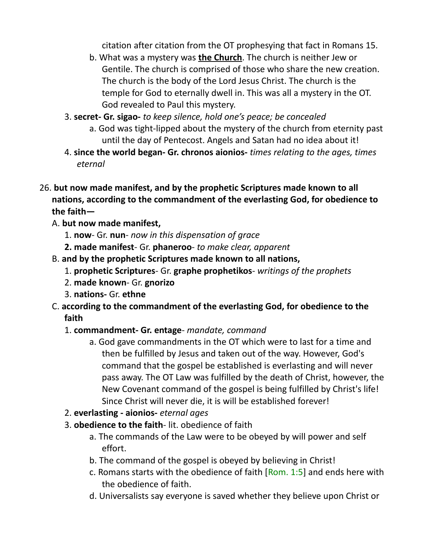citation after citation from the OT prophesying that fact in Romans 15.

- b. What was a mystery was **the Church**. The church is neither Jew or Gentile. The church is comprised of those who share the new creation. The church is the body of the Lord Jesus Christ. The church is the temple for God to eternally dwell in. This was all a mystery in the OT. God revealed to Paul this mystery.
- 3. **secret- Gr. sigao-** *to keep silence, hold one's peace; be concealed*
	- a. God was tight-lipped about the mystery of the church from eternity past until the day of Pentecost. Angels and Satan had no idea about it!
- 4. **since the world began- Gr. chronos aionios-** *times relating to the ages, times eternal*
- 26. **but now made manifest, and by the prophetic Scriptures made known to all nations, according to the commandment of the everlasting God, for obedience to the faith—**
	- A. **but now made manifest,**
		- 1. **now** Gr. **nun** *now in this dispensation of grace*
		- **2. made manifest** Gr. **phaneroo** *to make clear, apparent*
	- B. **and by the prophetic Scriptures made known to all nations,**
		- 1. **prophetic Scriptures** Gr. **graphe prophetikos** *writings of the prophets*
		- 2. **made known** Gr. **gnorizo**
		- 3. **nations-** Gr. **ethne**
	- C. **according to the commandment of the everlasting God, for obedience to the faith**
		- 1. **commandment- Gr. entage** *mandate, command*
			- a. God gave commandments in the OT which were to last for a time and then be fulfilled by Jesus and taken out of the way. However, God's command that the gospel be established is everlasting and will never pass away. The OT Law was fulfilled by the death of Christ, however, the New Covenant command of the gospel is being fulfilled by Christ's life! Since Christ will never die, it is will be established forever!
		- 2. **everlasting aionios-** *eternal ages*
		- 3. **obedience to the faith** lit. obedience of faith
			- a. The commands of the Law were to be obeyed by will power and self effort.
			- b. The command of the gospel is obeyed by believing in Christ!
			- c. Romans starts with the obedience of faith  $[Rom. 1:5]$  and ends here with the obedience of faith.
			- d. Universalists say everyone is saved whether they believe upon Christ or